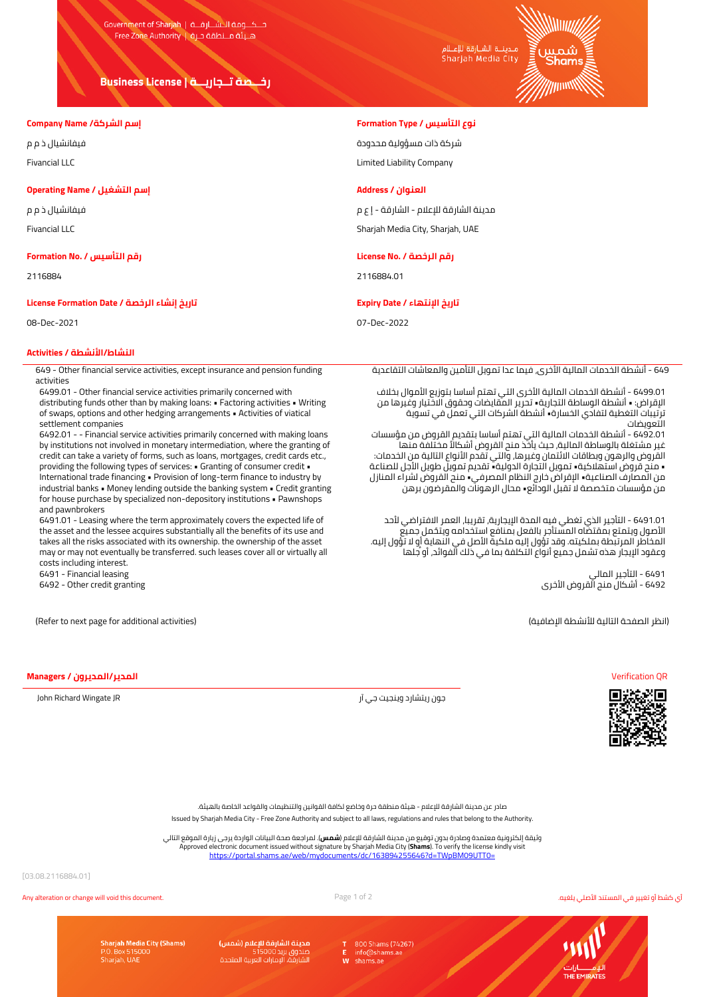ارخصة تــجاريـــة | Business License

# **النشاط/الأنشطة / Activities**

649 - Other financial service activities, except insurance and pension funding activities

6499.01 - Other financial service activities primarily concerned with distributing funds other than by making loans: • Factoring activities • Writing of swaps, options and other hedging arrangements • Activities of viatical settlement companies

6492.01 - - Financial service activities primarily concerned with making loans by institutions not involved in monetary intermediation, where the granting of credit can take a variety of forms, such as loans, mortgages, credit cards etc., providing the following types of services: • Granting of consumer credit • International trade financing • Provision of long-term finance to industry by industrial banks • Money lending outside the banking system • Credit granting for house purchase by specialized non-depository institutions • Pawnshops and pawnbrokers

6491.01 - Leasing where the term approximately covers the expected life of the asset and the lessee acquires substantially all the benefits of its use and takes all the risks associated with its ownership. the ownership of the asset may or may not eventually be transferred. such leases cover all or virtually all costs including interest.

6491 - التأجير المالي<br>6492 - ألثان المالي المالي - 6492 - التأجير المالي - 6492 - التأجير المالي الثاني (الثاني المالي - 6492 - 0ther credit granting<br>6492 - أشكال منح القروض الأخرى

(Refer to next page for additional activities) (الإضافية للأنشطة التالية الصفحة انظر(

**المدير/المديرون / Managers**

جون ريتشارد وينجيت جي آر JR Wingate Richard John

صادر عن مدينة الشارقة للإعلام - هيئة منطقة حرة وخاضع لكافة القوانين والتنظيمات والقواعد الخاصة بالهيئة. Issued by Sharjah Media City - Free Zone Authority and subject to all laws, regulations and rules that belong to the Authority.

وثيقة إلكترونية معتمدة وصادرة بدون توقيع من مدينة الشارقة للإعلام (**شمس**). لمراجعة صحة البيانات الواردة يرجى زيارة الموقع التالي<br>Approved electronic document issued without signature by Sharjah Media City **(Shams)**. To ve <https://portal.shams.ae/web/mydocuments/dc/163894255646?d=TWpBM09UTT0=>

[03.08.2116884.01]

Any alteration or change will void this document. Page 1 of 2 .يلغيه الأصلي المستند في تغيير أو كشط أي

**Sharjah Media City (Shams)** 

P.O. Box 51500<br>Sharjah, UAE

info@shams.ae

مدينة الشارقة للإعلام (شمس)

عندوق بريد 15000<br>لشارقة، الإمارات العربية المتحدة

THE EMIDATES

800 Shams (74267)



6492 - أشكال منح القروض الأخرى

التعويضات



649 - أنشطة الخدمات المالية الأخرى، فيما عدا تمويل التأمين والمعاشات التقاعدية

6499.01 - أنشطة الخدمات المالية الأخرى التي تهتم أساسا بتوزيع الأموال بخلاف الإقراض: • أنشطة الوساطة التجارية• تحرير المقايضات وحقوق الاختيار وغيرها من .<br>ترتيبات التغطية لتفادي الخسارة• أنشطة الشركات التي تعمل في تسوية

6492.01 - أنشطة الخدمات المالية التي تهتم أساسا بتقديم القروض من مؤسسات ً غير مشتغلة بالوساطة المالية، حيث يأخذ منح القروض أشكالا مختلفة منها القروض والرهون وبطاقات الائتمان وغيرها، والتي تقدم الأنواع التالية من الخدمات: • منح قروض استهلاكية• تمويل التجارة الدولية• تقديم تمويل طويل الأجل للصناعة من المصارف الصناعية• الإقراض خارج النظام المصرفي• منح القروض لشراء المنازل من مؤسسات متخصصة لا تقبل الودائع• محال الرهونات والمقرضون برهن

6491.01 - التأجير الذي تغطي فيه المدة الإيجارية، تقريبا، العمر الافتراضي لأحد الأصول ويتمتع بمقتضاه المستأجر بالفعل بمنافع استخدامه ويتحمل جميع المخاطر المرتبطة بملكيته. وقد تؤول إليه ملكية الأصل في النهاية أو لا تؤول إليه. وعقود الإيجار هذه تشمل جميع أنواع التكلفة بما في ذلك الفوائد، أو ُجلها

| إسم الشركة/ Company Name                    | نوع التأسيس / Formation Type            |
|---------------------------------------------|-----------------------------------------|
| فیفانشیال ذ م م                             | شركة ذات مسؤولية محدودة                 |
| <b>Fivancial LLC</b>                        | Limited Liability Company               |
| إسم التشغيل / Operating Name                | العنوان / Address                       |
| فیفانشیال ذ م م                             | مدينة الشارقة للإعلام - الشارقة - إ ع م |
| <b>Fivancial LLC</b>                        | Sharjah Media City, Sharjah, UAE        |
| رقم التأسيس / Formation No.                 | License No. / قم الرخصة                 |
| 2116884                                     | 2116884.01                              |
| تاريخ إنشاء الرخصة / License Formation Date | تاريخ الانتهاء / Expiry Date            |
| 08-Dec-2021                                 | 07-Dec-2022                             |